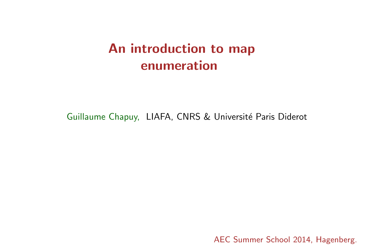# An introduction to map enumeration

Guillaume Chapuy, LIAFA, CNRS & Université Paris Diderot

AEC Summer School 2014, Hagenberg.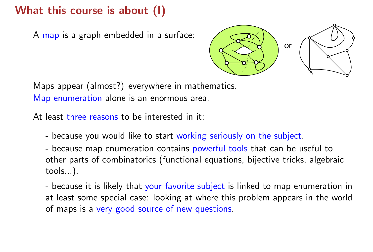A map is a graph embedded in a surface:



Maps appear (almost?) everywhere in mathematics. Map enumeration alone is an enormous area.

At least three reasons to be interested in it:

- because you would like to start working seriously on the subject.
- because map enumeration contains powerful tools that can be useful to other parts of combinatorics (functional equations, bijective tricks, algebraic tools...).

- because it is likely that your favorite subject is linked to map enumeration in at least some special case: looking at where this problem appears in the world of maps is a very good source of new questions.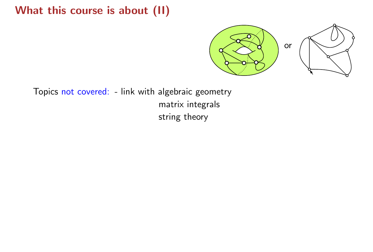

Topics not covered: - link with algebraic geometry matrix integrals string theory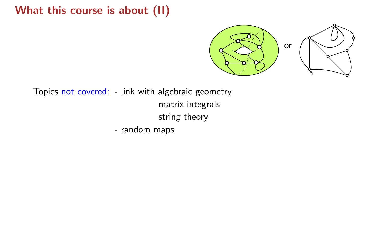

Topics not covered: - link with algebraic geometry matrix integrals string theory

- random maps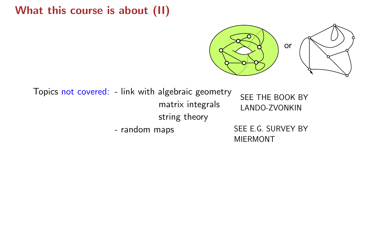

Topics not covered: - link with algebraic geometry matrix integrals string theory SEE THE BOOK BY LANDO-ZVONKIN - random maps SEE E.G. SURVEY BY

MIERMONT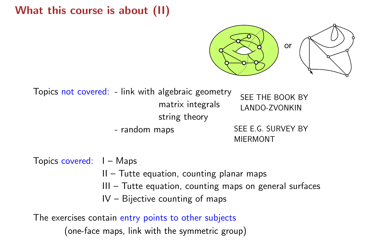

Topics not covered: - link with algebraic geometry matrix integrals string theory SEE THE BOOK BY LANDO-ZVONKIN

- random maps SEE E.G. SURVEY BY MIERMONT

Topics covered: I – Maps

- II Tutte equation, counting planar maps
- III Tutte equation, counting maps on general surfaces
- IV Bijective counting of maps

The exercises contain entry points to other subjects (one-face maps, link with the symmetric group)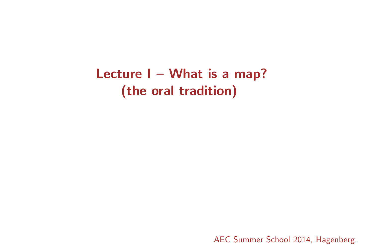Lecture I - What is a map? (the oral tradition)

AEC Summer School 2014, Hagenberg.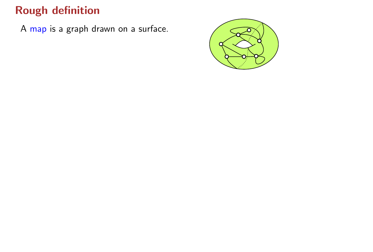A map is a graph drawn on a surface.

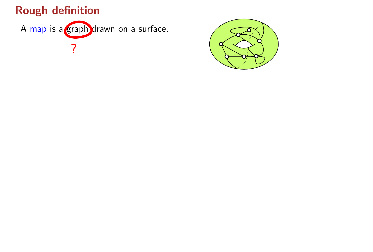

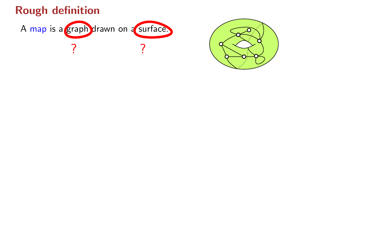

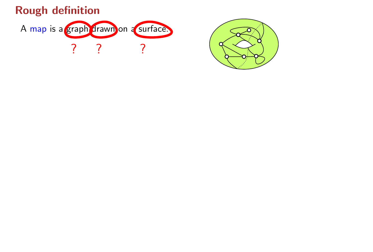

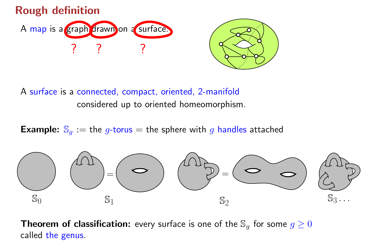

A surface is a connected, compact, oriented, 2-manifold considered up to oriented homeomorphism.

**Example:**  $\mathbb{S}_q :=$  the *g*-torus = the sphere with *g* handles attached



**Theorem of classification:** every surface is one of the  $\mathbb{S}_g$  for some  $g \geq 0$ called the genus.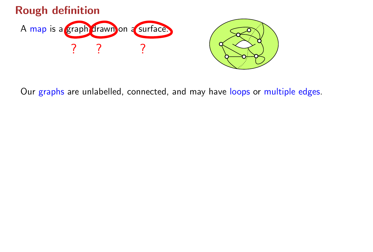

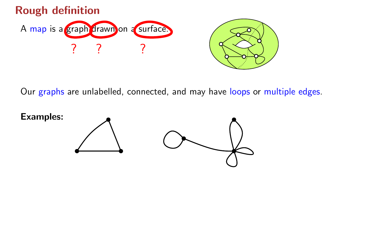



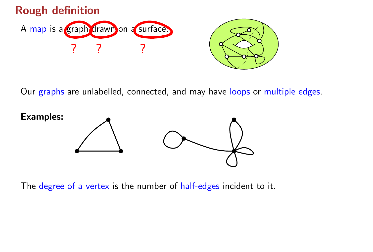





The degree of a vertex is the number of half-edges incident to it.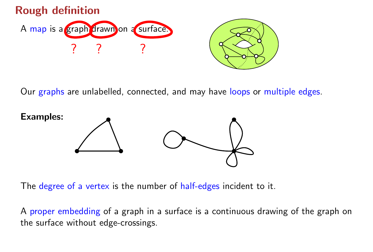





The degree of a vertex is the number of half-edges incident to it.

A proper embedding of a graph in a surface is a continuous drawing of the graph on the surface without edge-crossings.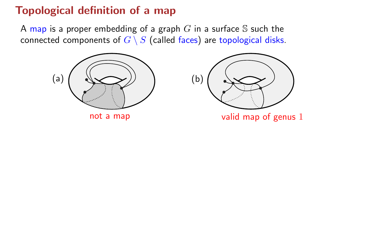A map is a proper embedding of a graph  $G$  in a surface  $S$  such the connected components of  $G \setminus S$  (called faces) are topological disks.





not a map valid map of genus 1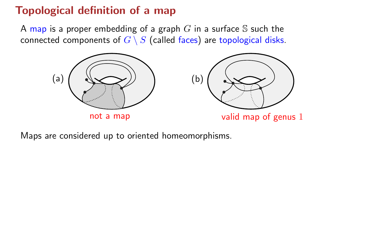A map is a proper embedding of a graph  $G$  in a surface S such the connected components of  $G \setminus S$  (called faces) are topological disks.



Maps are considered up to oriented homeomorphisms.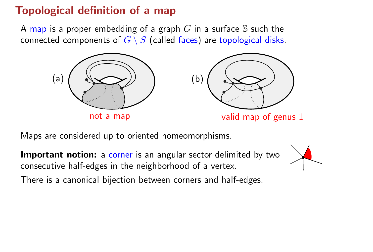A map is a proper embedding of a graph G in a surface S such the connected components of  $G \setminus S$  (called faces) are topological disks.





not a map valid map of genus 1

Maps are considered up to oriented homeomorphisms.

Important notion: a corner is an angular sector delimited by two consecutive half-edges in the neighborhood of a vertex.



There is a canonical bijection between corners and half-edges.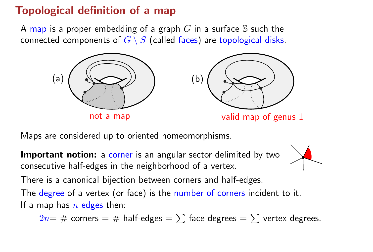A map is a proper embedding of a graph  $G$  in a surface  $S$  such the connected components of  $G \setminus S$  (called faces) are topological disks.







not a map valid map of genus 1

Maps are considered up to oriented homeomorphisms.

Important notion: a corner is an angular sector delimited by two consecutive half-edges in the neighborhood of a vertex.



There is a canonical bijection between corners and half-edges.

The degree of a vertex (or face) is the number of corners incident to it. If a map has  $n$  edges then:

 $2n=$  # corners = # half-edges =  $\sum$  face degrees =  $\sum$  vertex degrees.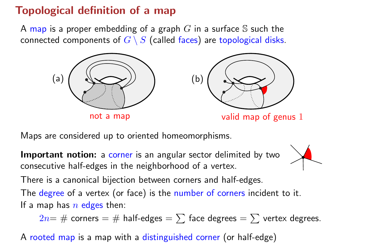A map is a proper embedding of a graph  $G$  in a surface  $S$  such the connected components of  $G \setminus S$  (called faces) are topological disks.







not a map valid map of genus 1

Maps are considered up to oriented homeomorphisms.

Important notion: a corner is an angular sector delimited by two consecutive half-edges in the neighborhood of a vertex.



There is a canonical bijection between corners and half-edges.

The degree of a vertex (or face) is the number of corners incident to it. If a map has  $n$  edges then:

 $2n=$  # corners = # half-edges =  $\sum$  face degrees =  $\sum$  vertex degrees.

A rooted map is a map with a distinguished corner (or half-edge)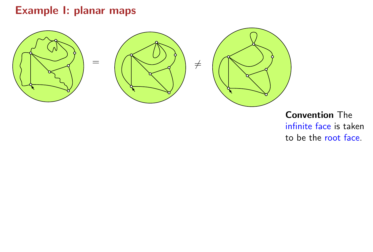#### Example I: planar maps



Convention The infinite face is taken to be the root face.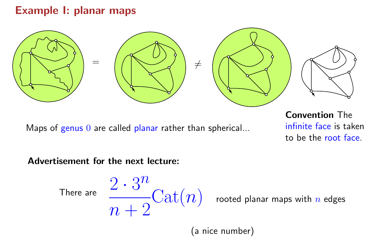### Example I: planar maps



Maps of genus  $0$  are called planar rather than spherical...

Convention The infinite face is taken to be the root face.

#### Advertisement for the next lecture:

There are 
$$
\frac{2 \cdot 3^n}{n+2} \text{Cat}(n)
$$
 rooted planar maps with *n* edges

(a nice number)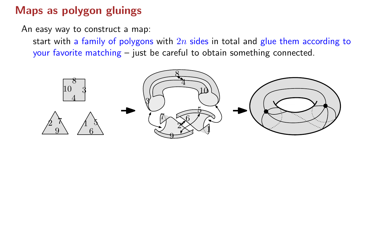An easy way to construct a map:

start with a family of polygons with  $2n$  sides in total and glue them according to your favorite matching – just be careful to obtain something connected.

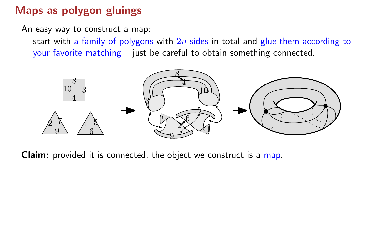An easy way to construct a map:

start with a family of polygons with  $2n$  sides in total and glue them according to your favorite matching – just be careful to obtain something connected.



Claim: provided it is connected, the object we construct is a map.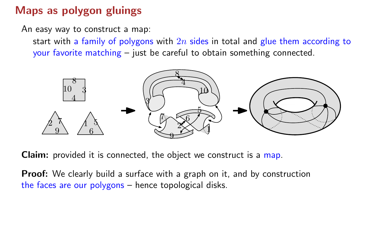An easy way to construct a map:

start with a family of polygons with  $2n$  sides in total and glue them according to your favorite matching – just be careful to obtain something connected.



Claim: provided it is connected, the object we construct is a map.

**Proof:** We clearly build a surface with a graph on it, and by construction the faces are our polygons – hence topological disks.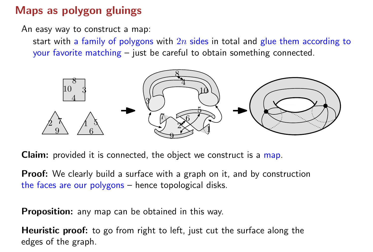An easy way to construct a map:

start with a family of polygons with  $2n$  sides in total and glue them according to your favorite matching – just be careful to obtain something connected.



Claim: provided it is connected, the object we construct is a map.

**Proof:** We clearly build a surface with a graph on it, and by construction the faces are our polygons – hence topological disks.

Proposition: any map can be obtained in this way.

**Heuristic proof:** to go from right to left, just cut the surface along the edges of the graph.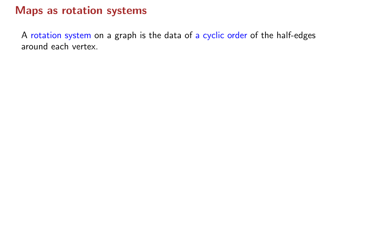A rotation system on a graph is the data of a cyclic order of the half-edges around each vertex.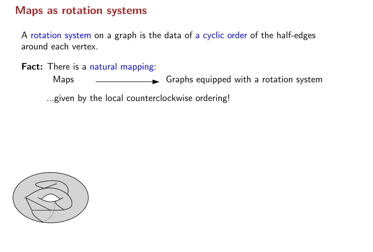A rotation system on a graph is the data of a cyclic order of the half-edges around each vertex.

Fact: There is a natural mapping:

Maps <u>\_\_\_\_\_\_\_\_\_\_\_\_\_\_\_\_\_\_\_\_\_</u> Graphs equipped with a rotation system

...given by the local counterclockwise ordering!

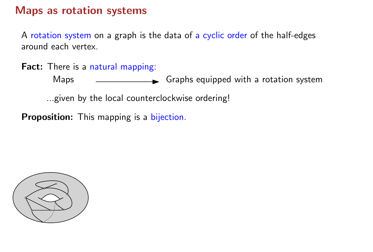A rotation system on a graph is the data of a cyclic order of the half-edges around each vertex.

Fact: There is a natural mapping:

Maps <u>\_\_\_\_\_\_\_\_\_\_\_\_\_\_\_\_\_\_\_\_\_</u> Graphs equipped with a rotation system

...given by the local counterclockwise ordering!

Proposition: This mapping is a bijection.

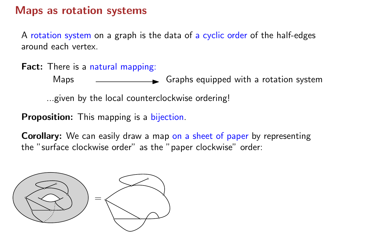A rotation system on a graph is the data of a cyclic order of the half-edges around each vertex.

Fact: There is a natural mapping:

Maps <u>\_\_\_\_\_\_\_\_\_\_\_\_\_\_\_\_\_\_\_\_</u> Graphs equipped with a rotation system

...given by the local counterclockwise ordering!

Proposition: This mapping is a bijection.

**Corollary:** We can easily draw a map on a sheet of paper by representing the "surface clockwise order" as the "paper clockwise" order:

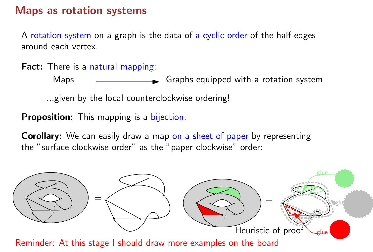A rotation system on a graph is the data of a cyclic order of the half-edges around each vertex.

Fact: There is a natural mapping:

Maps <u>\_\_\_\_\_\_\_\_\_\_\_\_\_\_\_\_\_\_\_\_\_\_\_\_</u> Graphs equipped with a rotation system

...given by the local counterclockwise ordering!

Proposition: This mapping is a bijection.

**Corollary:** We can easily draw a map on a sheet of paper by representing the "surface clockwise order" as the "paper clockwise" order:

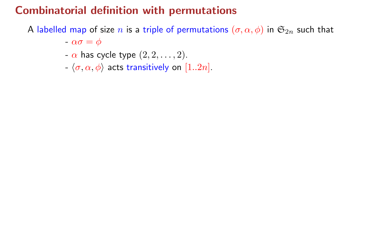A labelled map of size n is a triple of permutations  $(\sigma, \alpha, \phi)$  in  $\mathfrak{S}_{2n}$  such that

 $-\alpha\sigma = \phi$ 

- $-\alpha$  has cycle type  $(2, 2, \ldots, 2)$ .
- $-\langle \sigma, \alpha, \phi \rangle$  acts transitively on  $[1..2n]$ .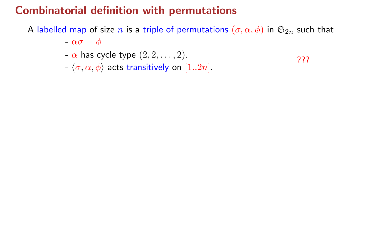A labelled map of size n is a triple of permutations  $(\sigma, \alpha, \phi)$  in  $\mathfrak{S}_{2n}$  such that

???

- $-\alpha\sigma = \phi$
- $-\alpha$  has cycle type  $(2, 2, \ldots, 2)$ .
- $-\langle \sigma, \alpha, \phi \rangle$  acts transitively on  $[1..2n]$ .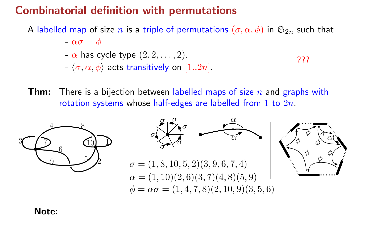A labelled map of size n is a triple of permutations  $(\sigma, \alpha, \phi)$  in  $\mathfrak{S}_{2n}$  such that

 $-\alpha\sigma = \phi$  $-\alpha$  has cycle type  $(2, 2, \ldots, 2)$ .  $-\langle \sigma, \alpha, \phi \rangle$  acts transitively on [1..2n]. ???

**Thm:** There is a bijection between labelled maps of size  $n$  and graphs with rotation systems whose half-edges are labelled from  $1$  to  $2n$ .



Note: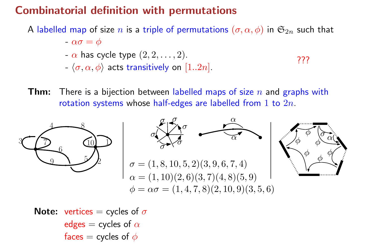A labelled map of size n is a triple of permutations  $(\sigma, \alpha, \phi)$  in  $\mathfrak{S}_{2n}$  such that

 $-\alpha\sigma = \phi$  $-\alpha$  has cycle type  $(2, 2, \ldots, 2)$ .  $-\langle \sigma, \alpha, \phi \rangle$  acts transitively on [1..2n]. ???

**Thm:** There is a bijection between labelled maps of size n and graphs with rotation systems whose half-edges are labelled from 1 to  $2n$ .



**Note:** vertices = cycles of  $\sigma$ edges = cycles of  $\alpha$ faces = cycles of  $\phi$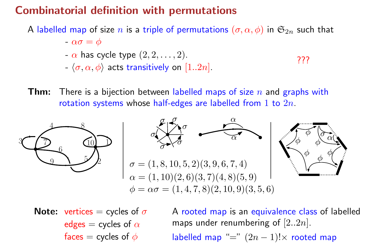A labelled map of size n is a triple of permutations  $(\sigma, \alpha, \phi)$  in  $\mathfrak{S}_{2n}$  such that

 $-\alpha\sigma = \phi$  $-\alpha$  has cycle type  $(2, 2, \ldots, 2)$ .  $-\langle \sigma, \alpha, \phi \rangle$  acts transitively on [1..2n]. ???

**Thm:** There is a bijection between labelled maps of size n and graphs with rotation systems whose half-edges are labelled from 1 to  $2n$ .

![](_page_36_Figure_4.jpeg)

**Note:** vertices = cycles of  $\sigma$ edges = cycles of  $\alpha$ faces = cycles of  $\phi$ 

A rooted map is an equivalence class of labelled maps under renumbering of  $[2..2n]$ . labelled map "="  $(2n - 1)! \times$  rooted map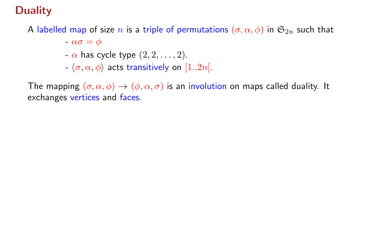### **Duality**

A labelled map of size n is a triple of permutations  $(\sigma, \alpha, \phi)$  in  $\mathfrak{S}_{2n}$  such that

 $-\alpha\sigma = \phi$ 

- $-\alpha$  has cycle type  $(2, 2, \ldots, 2)$ .
- $-\langle \sigma, \alpha, \phi \rangle$  acts transitively on [1..2n].

The mapping  $(\sigma, \alpha, \phi) \rightarrow (\phi, \alpha, \sigma)$  is an involution on maps called duality. It exchanges vertices and faces.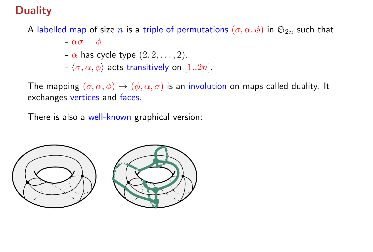### **Duality**

A labelled map of size n is a triple of permutations  $(\sigma, \alpha, \phi)$  in  $\mathfrak{S}_{2n}$  such that

- $-\alpha\sigma = \phi$
- $-\alpha$  has cycle type  $(2, 2, \ldots, 2)$ .
- $-\langle \sigma, \alpha, \phi \rangle$  acts transitively on [1..2n].

The mapping  $(\sigma, \alpha, \phi) \rightarrow (\phi, \alpha, \sigma)$  is an involution on maps called duality. It exchanges vertices and faces.

There is also a well-known graphical version:

![](_page_38_Figure_7.jpeg)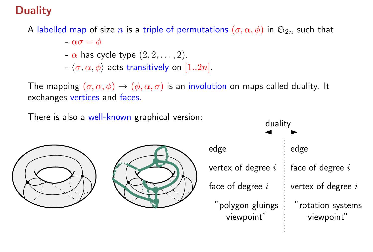### **Duality**

A labelled map of size n is a triple of permutations  $(\sigma, \alpha, \phi)$  in  $\mathfrak{S}_{2n}$  such that

 $-\alpha\sigma = \phi$ 

- $-\alpha$  has cycle type  $(2, 2, \ldots, 2)$ .
- $-\langle \sigma, \alpha, \phi \rangle$  acts transitively on [1..2n].

The mapping  $(\sigma, \alpha, \phi) \rightarrow (\phi, \alpha, \sigma)$  is an involution on maps called duality. It exchanges vertices and faces.

There is also a well-known graphical version:

![](_page_39_Picture_7.jpeg)

![](_page_39_Picture_8.jpeg)

![](_page_39_Figure_9.jpeg)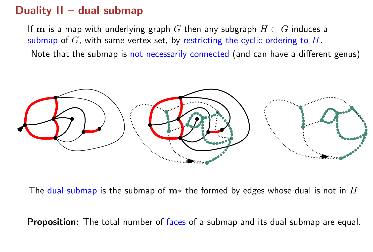### Duality II – dual submap

If m is a map with underlying graph G then any subgraph  $H\subset G$  induces a submap of  $G$ , with same vertex set, by restricting the cyclic ordering to  $H$ . Note that the submap is not necessarily connected (and can have a different genus)

![](_page_40_Figure_2.jpeg)

The dual submap is the submap of  $m*$  the formed by edges whose dual is not in  $H$ 

**Proposition:** The total number of faces of a submap and its dual submap are equal.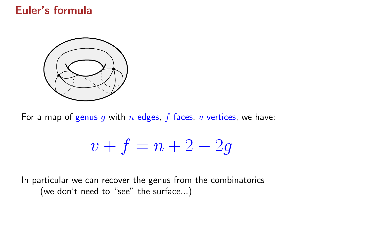#### Euler's formula

![](_page_41_Figure_1.jpeg)

For a map of genus  $g$  with  $n$  edges,  $f$  faces,  $v$  vertices, we have:

$$
v + f = n + 2 - 2g
$$

In particular we can recover the genus from the combinatorics (we don't need to "see" the surface...)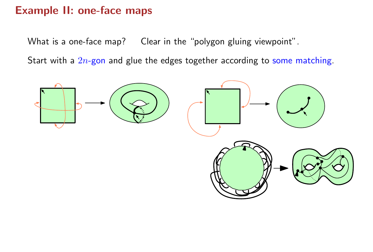What is a one-face map? Clear in the "polygon gluing viewpoint".

Start with a  $2n$ -gon and glue the edges together according to some matching.

![](_page_42_Figure_3.jpeg)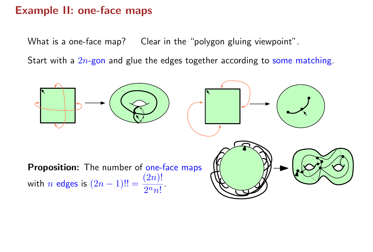What is a one-face map? Clear in the "polygon gluing viewpoint".

Start with a  $2n$ -gon and glue the edges together according to some matching.

![](_page_43_Figure_3.jpeg)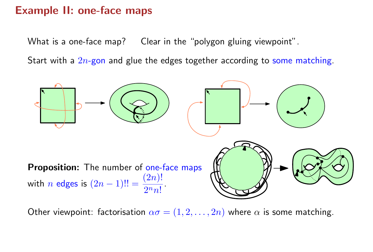What is a one-face map? Clear in the "polygon gluing viewpoint".

Start with a  $2n$ -gon and glue the edges together according to some matching.

![](_page_44_Figure_3.jpeg)

Other viewpoint: factorisation  $\alpha \sigma = (1, 2, ..., 2n)$  where  $\alpha$  is some matching.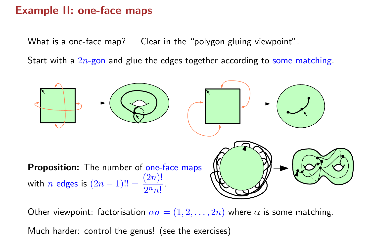What is a one-face map? Clear in the "polygon gluing viewpoint".

Start with a  $2n$ -gon and glue the edges together according to some matching.

![](_page_45_Figure_3.jpeg)

Other viewpoint: factorisation  $\alpha \sigma = (1, 2, ..., 2n)$  where  $\alpha$  is some matching.

Much harder: control the genus! (see the exercises)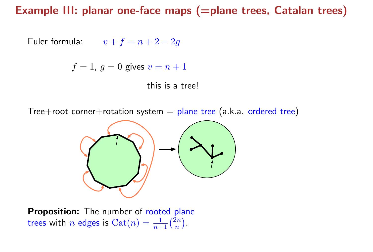#### Example III: planar one-face maps (=plane trees, Catalan trees)

Euler formula:  $v + f = n + 2 - 2g$ 

$$
f=1, g=0
$$
 gives  $v=n+1$ 

this is a tree!

Tree+root corner+rotation system  $=$  plane tree (a.k.a. ordered tree)

![](_page_46_Figure_5.jpeg)

Proposition: The number of rooted plane trees with  $n$  edges is  $\operatorname{Cat}(n) = \frac{1}{n+1}\binom{2n}{n}$  $\boldsymbol{n}$  $\Big).$